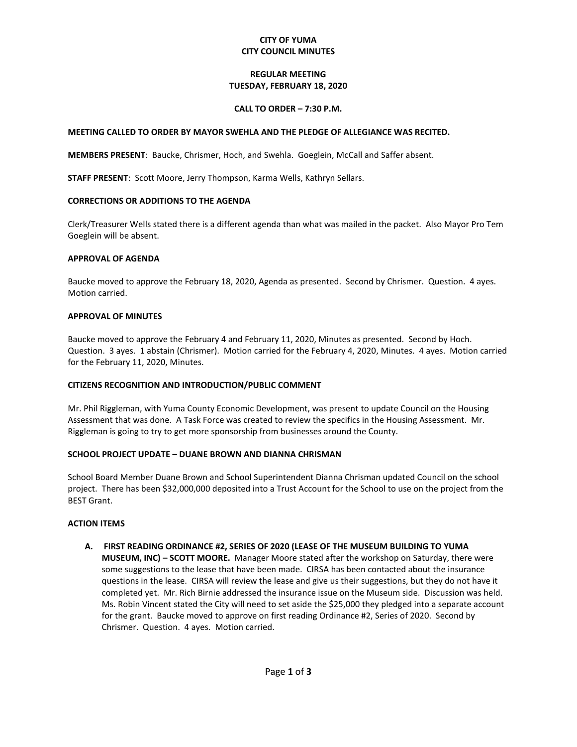### **CITY OF YUMA CITY COUNCIL MINUTES**

## **REGULAR MEETING TUESDAY, FEBRUARY 18, 2020**

### **CALL TO ORDER – 7:30 P.M.**

#### **MEETING CALLED TO ORDER BY MAYOR SWEHLA AND THE PLEDGE OF ALLEGIANCE WAS RECITED.**

**MEMBERS PRESENT**: Baucke, Chrismer, Hoch, and Swehla. Goeglein, McCall and Saffer absent.

**STAFF PRESENT**: Scott Moore, Jerry Thompson, Karma Wells, Kathryn Sellars.

#### **CORRECTIONS OR ADDITIONS TO THE AGENDA**

Clerk/Treasurer Wells stated there is a different agenda than what was mailed in the packet. Also Mayor Pro Tem Goeglein will be absent.

#### **APPROVAL OF AGENDA**

Baucke moved to approve the February 18, 2020, Agenda as presented. Second by Chrismer. Question. 4 ayes. Motion carried.

#### **APPROVAL OF MINUTES**

Baucke moved to approve the February 4 and February 11, 2020, Minutes as presented. Second by Hoch. Question. 3 ayes. 1 abstain (Chrismer). Motion carried for the February 4, 2020, Minutes. 4 ayes. Motion carried for the February 11, 2020, Minutes.

### **CITIZENS RECOGNITION AND INTRODUCTION/PUBLIC COMMENT**

Mr. Phil Riggleman, with Yuma County Economic Development, was present to update Council on the Housing Assessment that was done. A Task Force was created to review the specifics in the Housing Assessment. Mr. Riggleman is going to try to get more sponsorship from businesses around the County.

### **SCHOOL PROJECT UPDATE – DUANE BROWN AND DIANNA CHRISMAN**

School Board Member Duane Brown and School Superintendent Dianna Chrisman updated Council on the school project. There has been \$32,000,000 deposited into a Trust Account for the School to use on the project from the BEST Grant.

### **ACTION ITEMS**

**A. FIRST READING ORDINANCE #2, SERIES OF 2020 (LEASE OF THE MUSEUM BUILDING TO YUMA MUSEUM, INC) – SCOTT MOORE.** Manager Moore stated after the workshop on Saturday, there were some suggestions to the lease that have been made. CIRSA has been contacted about the insurance questions in the lease. CIRSA will review the lease and give us their suggestions, but they do not have it completed yet. Mr. Rich Birnie addressed the insurance issue on the Museum side. Discussion was held. Ms. Robin Vincent stated the City will need to set aside the \$25,000 they pledged into a separate account for the grant. Baucke moved to approve on first reading Ordinance #2, Series of 2020. Second by Chrismer. Question. 4 ayes. Motion carried.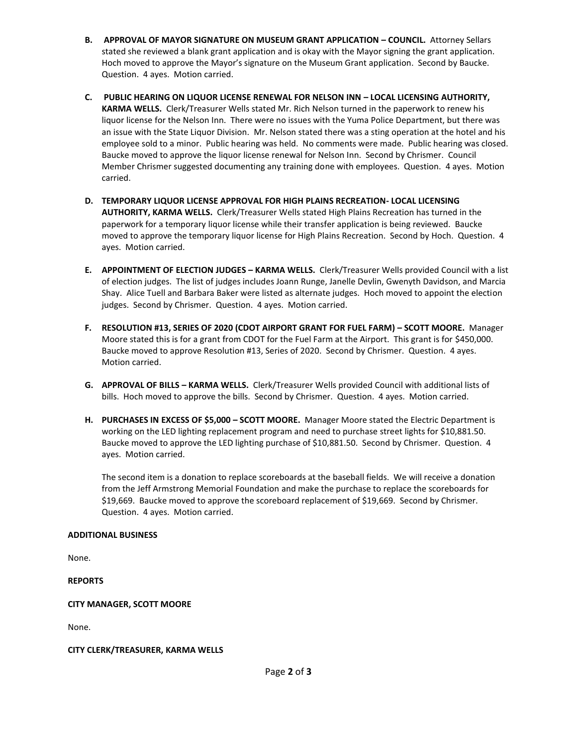- **B. APPROVAL OF MAYOR SIGNATURE ON MUSEUM GRANT APPLICATION – COUNCIL.** Attorney Sellars stated she reviewed a blank grant application and is okay with the Mayor signing the grant application. Hoch moved to approve the Mayor's signature on the Museum Grant application. Second by Baucke. Question. 4 ayes. Motion carried.
- **C. PUBLIC HEARING ON LIQUOR LICENSE RENEWAL FOR NELSON INN – LOCAL LICENSING AUTHORITY, KARMA WELLS.** Clerk/Treasurer Wells stated Mr. Rich Nelson turned in the paperwork to renew his liquor license for the Nelson Inn. There were no issues with the Yuma Police Department, but there was an issue with the State Liquor Division. Mr. Nelson stated there was a sting operation at the hotel and his employee sold to a minor. Public hearing was held. No comments were made. Public hearing was closed. Baucke moved to approve the liquor license renewal for Nelson Inn. Second by Chrismer. Council Member Chrismer suggested documenting any training done with employees. Question. 4 ayes. Motion carried.
- **D. TEMPORARY LIQUOR LICENSE APPROVAL FOR HIGH PLAINS RECREATION- LOCAL LICENSING AUTHORITY, KARMA WELLS.** Clerk/Treasurer Wells stated High Plains Recreation has turned in the paperwork for a temporary liquor license while their transfer application is being reviewed. Baucke moved to approve the temporary liquor license for High Plains Recreation. Second by Hoch. Question. 4 ayes. Motion carried.
- **E. APPOINTMENT OF ELECTION JUDGES – KARMA WELLS.** Clerk/Treasurer Wells provided Council with a list of election judges. The list of judges includes Joann Runge, Janelle Devlin, Gwenyth Davidson, and Marcia Shay. Alice Tuell and Barbara Baker were listed as alternate judges. Hoch moved to appoint the election judges. Second by Chrismer. Question. 4 ayes. Motion carried.
- **F. RESOLUTION #13, SERIES OF 2020 (CDOT AIRPORT GRANT FOR FUEL FARM) – SCOTT MOORE.** Manager Moore stated this is for a grant from CDOT for the Fuel Farm at the Airport. This grant is for \$450,000. Baucke moved to approve Resolution #13, Series of 2020. Second by Chrismer. Question. 4 ayes. Motion carried.
- **G. APPROVAL OF BILLS – KARMA WELLS.** Clerk/Treasurer Wells provided Council with additional lists of bills. Hoch moved to approve the bills. Second by Chrismer. Question. 4 ayes. Motion carried.
- **H. PURCHASES IN EXCESS OF \$5,000 – SCOTT MOORE.** Manager Moore stated the Electric Department is working on the LED lighting replacement program and need to purchase street lights for \$10,881.50. Baucke moved to approve the LED lighting purchase of \$10,881.50. Second by Chrismer. Question. 4 ayes. Motion carried.

The second item is a donation to replace scoreboards at the baseball fields. We will receive a donation from the Jeff Armstrong Memorial Foundation and make the purchase to replace the scoreboards for \$19,669. Baucke moved to approve the scoreboard replacement of \$19,669. Second by Chrismer. Question. 4 ayes. Motion carried.

### **ADDITIONAL BUSINESS**

None.

**REPORTS**

### **CITY MANAGER, SCOTT MOORE**

None.

### **CITY CLERK/TREASURER, KARMA WELLS**